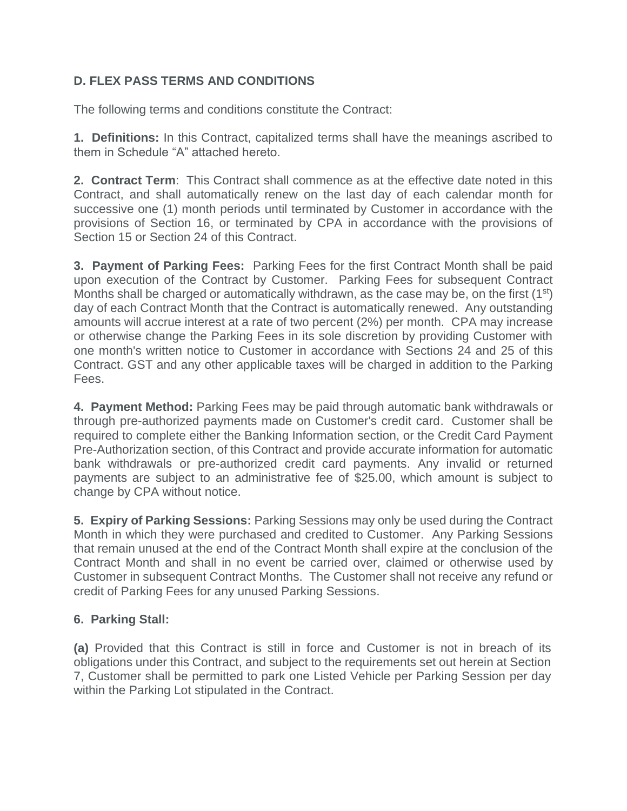# **D. FLEX PASS TERMS AND CONDITIONS**

The following terms and conditions constitute the Contract:

**1. Definitions:** In this Contract, capitalized terms shall have the meanings ascribed to them in Schedule "A" attached hereto.

**2. Contract Term**: This Contract shall commence as at the effective date noted in this Contract, and shall automatically renew on the last day of each calendar month for successive one (1) month periods until terminated by Customer in accordance with the provisions of Section 16, or terminated by CPA in accordance with the provisions of Section 15 or Section 24 of this Contract.

**3. Payment of Parking Fees:** Parking Fees for the first Contract Month shall be paid upon execution of the Contract by Customer. Parking Fees for subsequent Contract Months shall be charged or automatically withdrawn, as the case may be, on the first (1<sup>st</sup>) day of each Contract Month that the Contract is automatically renewed. Any outstanding amounts will accrue interest at a rate of two percent (2%) per month. CPA may increase or otherwise change the Parking Fees in its sole discretion by providing Customer with one month's written notice to Customer in accordance with Sections 24 and 25 of this Contract. GST and any other applicable taxes will be charged in addition to the Parking Fees.

**4. Payment Method:** Parking Fees may be paid through automatic bank withdrawals or through pre-authorized payments made on Customer's credit card. Customer shall be required to complete either the Banking Information section, or the Credit Card Payment Pre-Authorization section, of this Contract and provide accurate information for automatic bank withdrawals or pre-authorized credit card payments. Any invalid or returned payments are subject to an administrative fee of \$25.00, which amount is subject to change by CPA without notice.

**5. Expiry of Parking Sessions:** Parking Sessions may only be used during the Contract Month in which they were purchased and credited to Customer. Any Parking Sessions that remain unused at the end of the Contract Month shall expire at the conclusion of the Contract Month and shall in no event be carried over, claimed or otherwise used by Customer in subsequent Contract Months. The Customer shall not receive any refund or credit of Parking Fees for any unused Parking Sessions.

# **6. Parking Stall:**

**(a)** Provided that this Contract is still in force and Customer is not in breach of its obligations under this Contract, and subject to the requirements set out herein at Section 7, Customer shall be permitted to park one Listed Vehicle per Parking Session per day within the Parking Lot stipulated in the Contract.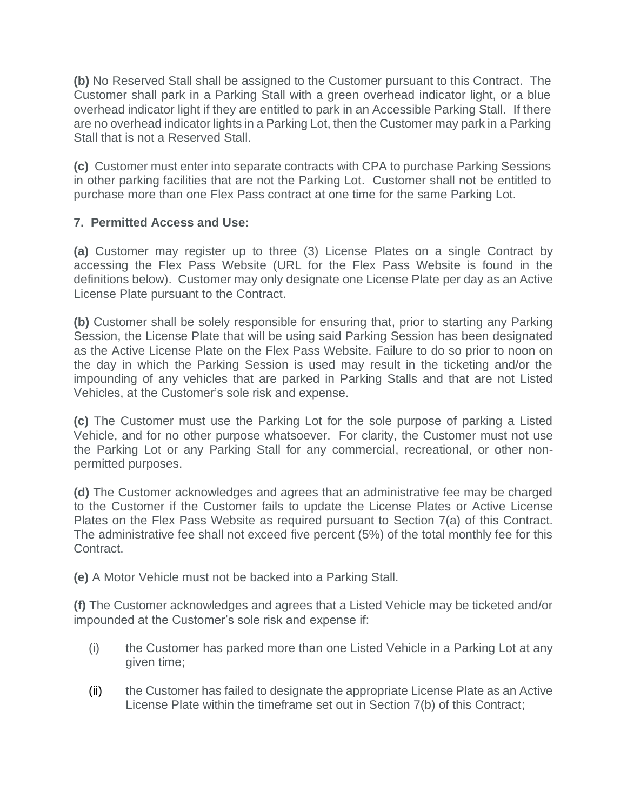**(b)** No Reserved Stall shall be assigned to the Customer pursuant to this Contract. The Customer shall park in a Parking Stall with a green overhead indicator light, or a blue overhead indicator light if they are entitled to park in an Accessible Parking Stall. If there are no overhead indicator lights in a Parking Lot, then the Customer may park in a Parking Stall that is not a Reserved Stall.

**(c)** Customer must enter into separate contracts with CPA to purchase Parking Sessions in other parking facilities that are not the Parking Lot. Customer shall not be entitled to purchase more than one Flex Pass contract at one time for the same Parking Lot.

### **7. Permitted Access and Use:**

**(a)** Customer may register up to three (3) License Plates on a single Contract by accessing the Flex Pass Website (URL for the Flex Pass Website is found in the definitions below). Customer may only designate one License Plate per day as an Active License Plate pursuant to the Contract.

**(b)** Customer shall be solely responsible for ensuring that, prior to starting any Parking Session, the License Plate that will be using said Parking Session has been designated as the Active License Plate on the Flex Pass Website. Failure to do so prior to noon on the day in which the Parking Session is used may result in the ticketing and/or the impounding of any vehicles that are parked in Parking Stalls and that are not Listed Vehicles, at the Customer's sole risk and expense.

**(c)** The Customer must use the Parking Lot for the sole purpose of parking a Listed Vehicle, and for no other purpose whatsoever. For clarity, the Customer must not use the Parking Lot or any Parking Stall for any commercial, recreational, or other nonpermitted purposes.

**(d)** The Customer acknowledges and agrees that an administrative fee may be charged to the Customer if the Customer fails to update the License Plates or Active License Plates on the Flex Pass Website as required pursuant to Section 7(a) of this Contract. The administrative fee shall not exceed five percent (5%) of the total monthly fee for this Contract.

**(e)** A Motor Vehicle must not be backed into a Parking Stall.

**(f)** The Customer acknowledges and agrees that a Listed Vehicle may be ticketed and/or impounded at the Customer's sole risk and expense if:

- (i) the Customer has parked more than one Listed Vehicle in a Parking Lot at any given time;
- (ii) the Customer has failed to designate the appropriate License Plate as an Active License Plate within the timeframe set out in Section 7(b) of this Contract;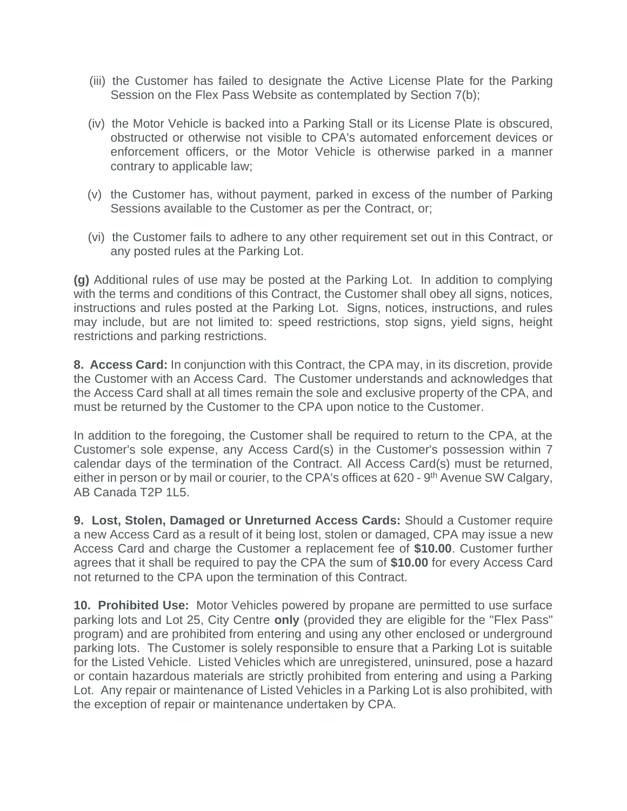- (iii) the Customer has failed to designate the Active License Plate for the Parking Session on the Flex Pass Website as contemplated by Section 7(b);
- (iv) the Motor Vehicle is backed into a Parking Stall or its License Plate is obscured, obstructed or otherwise not visible to CPA's automated enforcement devices or enforcement officers, or the Motor Vehicle is otherwise parked in a manner contrary to applicable law;
- (v) the Customer has, without payment, parked in excess of the number of Parking Sessions available to the Customer as per the Contract, or;
- (vi) the Customer fails to adhere to any other requirement set out in this Contract, or any posted rules at the Parking Lot.

**(g)** Additional rules of use may be posted at the Parking Lot. In addition to complying with the terms and conditions of this Contract, the Customer shall obey all signs, notices, instructions and rules posted at the Parking Lot. Signs, notices, instructions, and rules may include, but are not limited to: speed restrictions, stop signs, yield signs, height restrictions and parking restrictions.

**8. Access Card:** In conjunction with this Contract, the CPA may, in its discretion, provide the Customer with an Access Card. The Customer understands and acknowledges that the Access Card shall at all times remain the sole and exclusive property of the CPA, and must be returned by the Customer to the CPA upon notice to the Customer.

In addition to the foregoing, the Customer shall be required to return to the CPA, at the Customer's sole expense, any Access Card(s) in the Customer's possession within 7 calendar days of the termination of the Contract. All Access Card(s) must be returned, either in person or by mail or courier, to the CPA's offices at 620 - 9<sup>th</sup> Avenue SW Calgary, AB Canada T2P 1L5.

**9. Lost, Stolen, Damaged or Unreturned Access Cards:** Should a Customer require a new Access Card as a result of it being lost, stolen or damaged, CPA may issue a new Access Card and charge the Customer a replacement fee of **\$10.00**. Customer further agrees that it shall be required to pay the CPA the sum of **\$10.00** for every Access Card not returned to the CPA upon the termination of this Contract.

**10. Prohibited Use:** Motor Vehicles powered by propane are permitted to use surface parking lots and Lot 25, City Centre **only** (provided they are eligible for the "Flex Pass" program) and are prohibited from entering and using any other enclosed or underground parking lots. The Customer is solely responsible to ensure that a Parking Lot is suitable for the Listed Vehicle. Listed Vehicles which are unregistered, uninsured, pose a hazard or contain hazardous materials are strictly prohibited from entering and using a Parking Lot. Any repair or maintenance of Listed Vehicles in a Parking Lot is also prohibited, with the exception of repair or maintenance undertaken by CPA.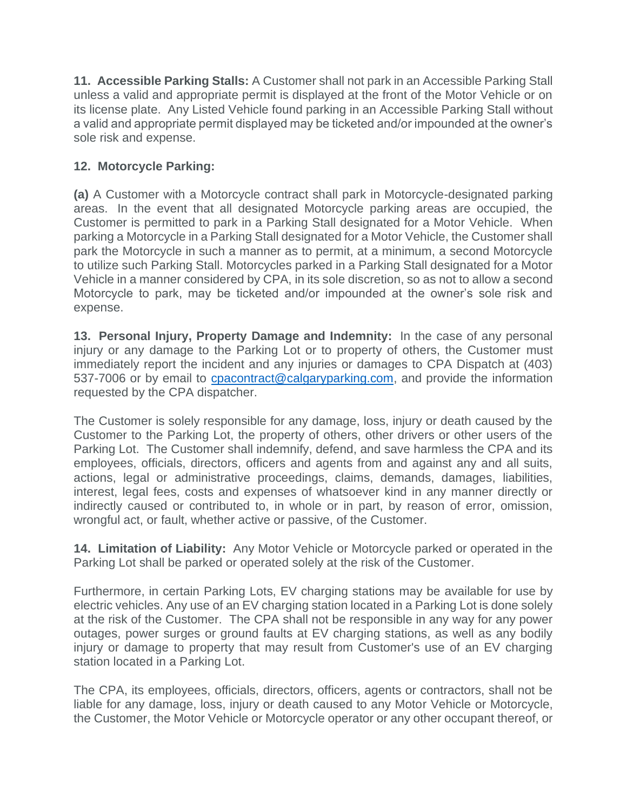**11. Accessible Parking Stalls:** A Customer shall not park in an Accessible Parking Stall unless a valid and appropriate permit is displayed at the front of the Motor Vehicle or on its license plate. Any Listed Vehicle found parking in an Accessible Parking Stall without a valid and appropriate permit displayed may be ticketed and/or impounded at the owner's sole risk and expense.

# **12. Motorcycle Parking:**

**(a)** A Customer with a Motorcycle contract shall park in Motorcycle-designated parking areas. In the event that all designated Motorcycle parking areas are occupied, the Customer is permitted to park in a Parking Stall designated for a Motor Vehicle. When parking a Motorcycle in a Parking Stall designated for a Motor Vehicle, the Customer shall park the Motorcycle in such a manner as to permit, at a minimum, a second Motorcycle to utilize such Parking Stall. Motorcycles parked in a Parking Stall designated for a Motor Vehicle in a manner considered by CPA, in its sole discretion, so as not to allow a second Motorcycle to park, may be ticketed and/or impounded at the owner's sole risk and expense.

**13. Personal Injury, Property Damage and Indemnity:** In the case of any personal injury or any damage to the Parking Lot or to property of others, the Customer must immediately report the incident and any injuries or damages to CPA Dispatch at (403) 537-7006 or by email to [cpacontract@calgaryparking.com,](mailto:cpacontract@calgaryparking.com) and provide the information requested by the CPA dispatcher.

The Customer is solely responsible for any damage, loss, injury or death caused by the Customer to the Parking Lot, the property of others, other drivers or other users of the Parking Lot. The Customer shall indemnify, defend, and save harmless the CPA and its employees, officials, directors, officers and agents from and against any and all suits, actions, legal or administrative proceedings, claims, demands, damages, liabilities, interest, legal fees, costs and expenses of whatsoever kind in any manner directly or indirectly caused or contributed to, in whole or in part, by reason of error, omission, wrongful act, or fault, whether active or passive, of the Customer.

**14. Limitation of Liability:** Any Motor Vehicle or Motorcycle parked or operated in the Parking Lot shall be parked or operated solely at the risk of the Customer.

Furthermore, in certain Parking Lots, EV charging stations may be available for use by electric vehicles. Any use of an EV charging station located in a Parking Lot is done solely at the risk of the Customer. The CPA shall not be responsible in any way for any power outages, power surges or ground faults at EV charging stations, as well as any bodily injury or damage to property that may result from Customer's use of an EV charging station located in a Parking Lot.

The CPA, its employees, officials, directors, officers, agents or contractors, shall not be liable for any damage, loss, injury or death caused to any Motor Vehicle or Motorcycle, the Customer, the Motor Vehicle or Motorcycle operator or any other occupant thereof, or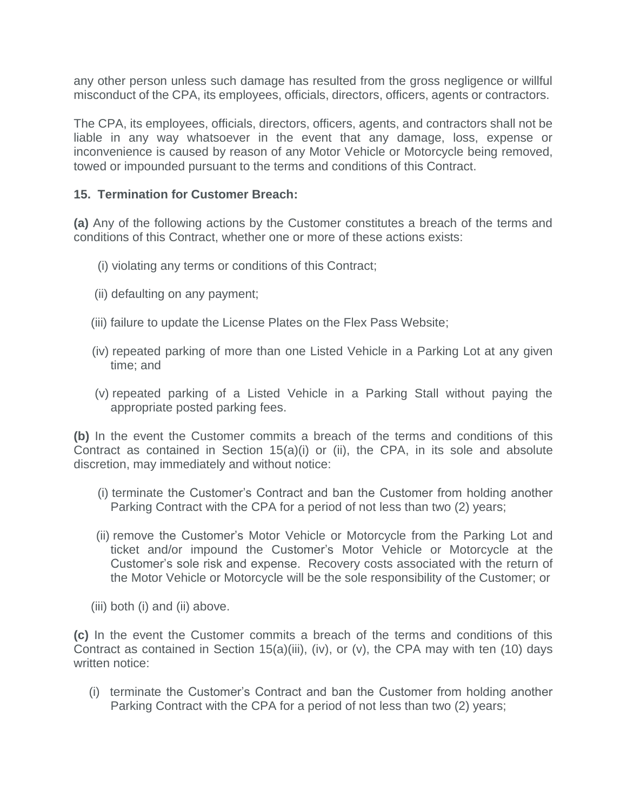any other person unless such damage has resulted from the gross negligence or willful misconduct of the CPA, its employees, officials, directors, officers, agents or contractors.

The CPA, its employees, officials, directors, officers, agents, and contractors shall not be liable in any way whatsoever in the event that any damage, loss, expense or inconvenience is caused by reason of any Motor Vehicle or Motorcycle being removed, towed or impounded pursuant to the terms and conditions of this Contract.

#### **15. Termination for Customer Breach:**

**(a)** Any of the following actions by the Customer constitutes a breach of the terms and conditions of this Contract, whether one or more of these actions exists:

- (i) violating any terms or conditions of this Contract;
- (ii) defaulting on any payment;
- (iii) failure to update the License Plates on the Flex Pass Website;
- (iv) repeated parking of more than one Listed Vehicle in a Parking Lot at any given time; and
- (v) repeated parking of a Listed Vehicle in a Parking Stall without paying the appropriate posted parking fees.

**(b)** In the event the Customer commits a breach of the terms and conditions of this Contract as contained in Section 15(a)(i) or (ii), the CPA, in its sole and absolute discretion, may immediately and without notice:

- (i) terminate the Customer's Contract and ban the Customer from holding another Parking Contract with the CPA for a period of not less than two (2) years;
- (ii) remove the Customer's Motor Vehicle or Motorcycle from the Parking Lot and ticket and/or impound the Customer's Motor Vehicle or Motorcycle at the Customer's sole risk and expense. Recovery costs associated with the return of the Motor Vehicle or Motorcycle will be the sole responsibility of the Customer; or
- (iii) both (i) and (ii) above.

**(c)** In the event the Customer commits a breach of the terms and conditions of this Contract as contained in Section 15(a)(iii), (iv), or (v), the CPA may with ten (10) days written notice:

 (i) terminate the Customer's Contract and ban the Customer from holding another Parking Contract with the CPA for a period of not less than two (2) years;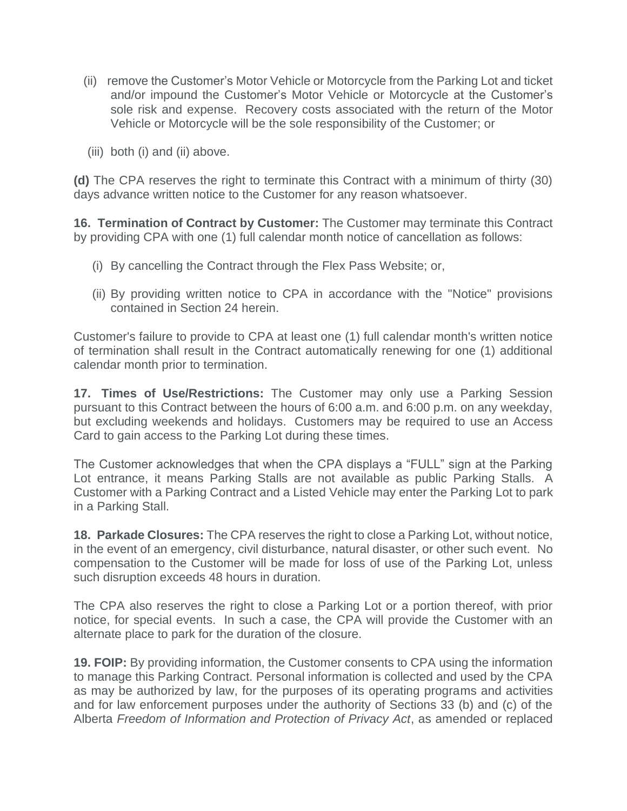- (ii) remove the Customer's Motor Vehicle or Motorcycle from the Parking Lot and ticket and/or impound the Customer's Motor Vehicle or Motorcycle at the Customer's sole risk and expense. Recovery costs associated with the return of the Motor Vehicle or Motorcycle will be the sole responsibility of the Customer; or
- (iii) both (i) and (ii) above.

**(d)** The CPA reserves the right to terminate this Contract with a minimum of thirty (30) days advance written notice to the Customer for any reason whatsoever.

**16. Termination of Contract by Customer:** The Customer may terminate this Contract by providing CPA with one (1) full calendar month notice of cancellation as follows:

- (i) By cancelling the Contract through the Flex Pass Website; or,
- (ii) By providing written notice to CPA in accordance with the "Notice" provisions contained in Section 24 herein.

Customer's failure to provide to CPA at least one (1) full calendar month's written notice of termination shall result in the Contract automatically renewing for one (1) additional calendar month prior to termination.

**17. Times of Use/Restrictions:** The Customer may only use a Parking Session pursuant to this Contract between the hours of 6:00 a.m. and 6:00 p.m. on any weekday, but excluding weekends and holidays. Customers may be required to use an Access Card to gain access to the Parking Lot during these times.

The Customer acknowledges that when the CPA displays a "FULL" sign at the Parking Lot entrance, it means Parking Stalls are not available as public Parking Stalls. A Customer with a Parking Contract and a Listed Vehicle may enter the Parking Lot to park in a Parking Stall.

**18. Parkade Closures:** The CPA reserves the right to close a Parking Lot, without notice, in the event of an emergency, civil disturbance, natural disaster, or other such event. No compensation to the Customer will be made for loss of use of the Parking Lot, unless such disruption exceeds 48 hours in duration.

The CPA also reserves the right to close a Parking Lot or a portion thereof, with prior notice, for special events. In such a case, the CPA will provide the Customer with an alternate place to park for the duration of the closure.

**19. FOIP:** By providing information, the Customer consents to CPA using the information to manage this Parking Contract. Personal information is collected and used by the CPA as may be authorized by law, for the purposes of its operating programs and activities and for law enforcement purposes under the authority of Sections 33 (b) and (c) of the Alberta *Freedom of Information and Protection of Privacy Act*, as amended or replaced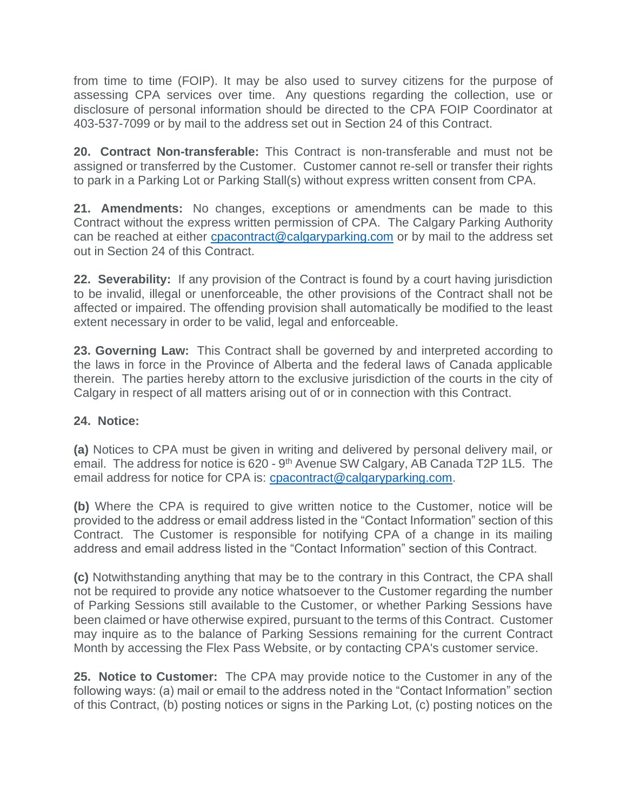from time to time (FOIP). It may be also used to survey citizens for the purpose of assessing CPA services over time. Any questions regarding the collection, use or disclosure of personal information should be directed to the CPA FOIP Coordinator at 403-537-7099 or by mail to the address set out in Section 24 of this Contract.

**20. Contract Non-transferable:** This Contract is non-transferable and must not be assigned or transferred by the Customer. Customer cannot re-sell or transfer their rights to park in a Parking Lot or Parking Stall(s) without express written consent from CPA.

**21. Amendments:** No changes, exceptions or amendments can be made to this Contract without the express written permission of CPA. The Calgary Parking Authority can be reached at either [cpacontract@calgaryparking.com](mailto:cpacontract@calgaryparking.com) or by mail to the address set out in Section 24 of this Contract.

**22. Severability:** If any provision of the Contract is found by a court having jurisdiction to be invalid, illegal or unenforceable, the other provisions of the Contract shall not be affected or impaired. The offending provision shall automatically be modified to the least extent necessary in order to be valid, legal and enforceable.

**23. Governing Law:** This Contract shall be governed by and interpreted according to the laws in force in the Province of Alberta and the federal laws of Canada applicable therein. The parties hereby attorn to the exclusive jurisdiction of the courts in the city of Calgary in respect of all matters arising out of or in connection with this Contract.

# **24. Notice:**

**(a)** Notices to CPA must be given in writing and delivered by personal delivery mail, or email. The address for notice is 620 - 9<sup>th</sup> Avenue SW Calgary, AB Canada T2P 1L5. The email address for notice for CPA is: [cpacontract@calgaryparking.com.](mailto:cpacontract@calgaryparking.com)

**(b)** Where the CPA is required to give written notice to the Customer, notice will be provided to the address or email address listed in the "Contact Information" section of this Contract. The Customer is responsible for notifying CPA of a change in its mailing address and email address listed in the "Contact Information" section of this Contract.

**(c)** Notwithstanding anything that may be to the contrary in this Contract, the CPA shall not be required to provide any notice whatsoever to the Customer regarding the number of Parking Sessions still available to the Customer, or whether Parking Sessions have been claimed or have otherwise expired, pursuant to the terms of this Contract. Customer may inquire as to the balance of Parking Sessions remaining for the current Contract Month by accessing the Flex Pass Website, or by contacting CPA's customer service.

**25. Notice to Customer:** The CPA may provide notice to the Customer in any of the following ways: (a) mail or email to the address noted in the "Contact Information" section of this Contract, (b) posting notices or signs in the Parking Lot, (c) posting notices on the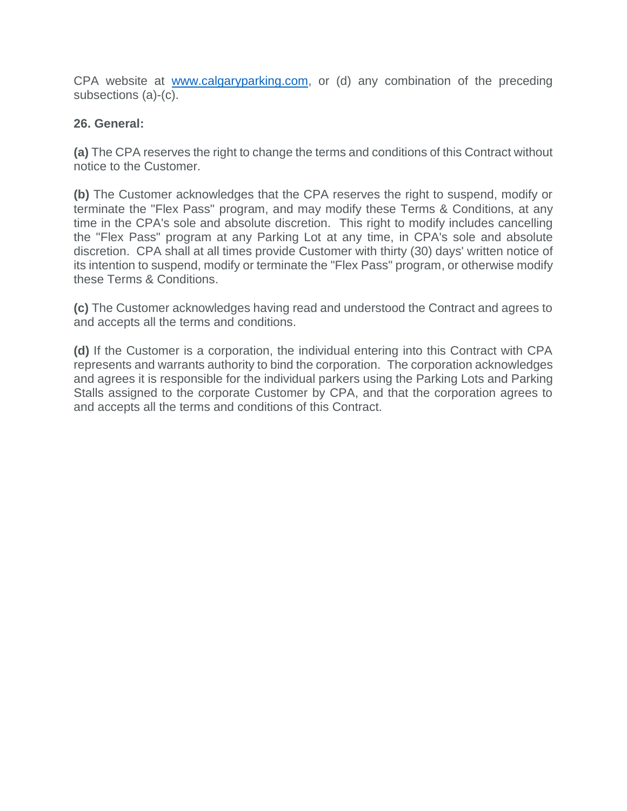CPA website at [www.calgaryparking.com,](http://www.calgaryparking.com/) or (d) any combination of the preceding subsections (a)-(c).

## **26. General:**

**(a)** The CPA reserves the right to change the terms and conditions of this Contract without notice to the Customer.

**(b)** The Customer acknowledges that the CPA reserves the right to suspend, modify or terminate the "Flex Pass" program, and may modify these Terms & Conditions, at any time in the CPA's sole and absolute discretion. This right to modify includes cancelling the "Flex Pass" program at any Parking Lot at any time, in CPA's sole and absolute discretion. CPA shall at all times provide Customer with thirty (30) days' written notice of its intention to suspend, modify or terminate the "Flex Pass" program, or otherwise modify these Terms & Conditions.

**(c)** The Customer acknowledges having read and understood the Contract and agrees to and accepts all the terms and conditions.

**(d)** If the Customer is a corporation, the individual entering into this Contract with CPA represents and warrants authority to bind the corporation. The corporation acknowledges and agrees it is responsible for the individual parkers using the Parking Lots and Parking Stalls assigned to the corporate Customer by CPA, and that the corporation agrees to and accepts all the terms and conditions of this Contract.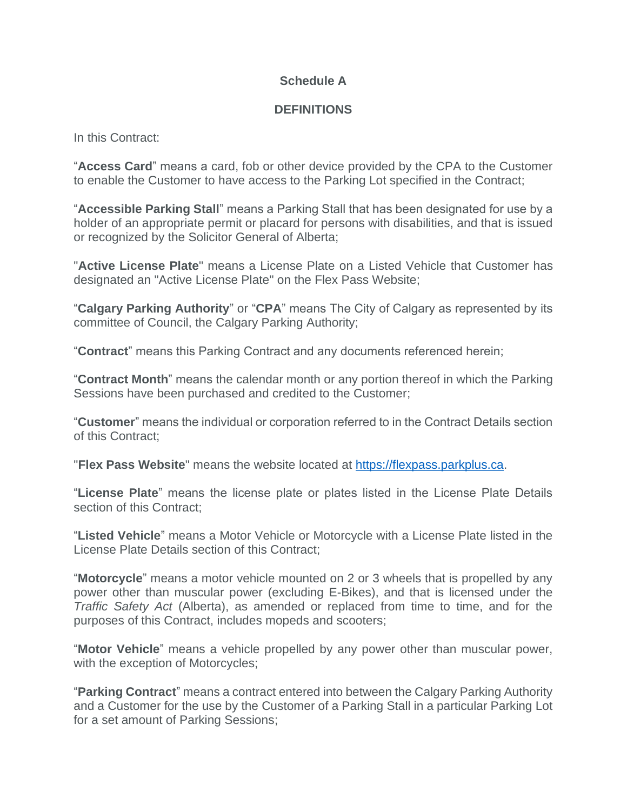## **Schedule A**

#### **DEFINITIONS**

In this Contract:

"**Access Card**" means a card, fob or other device provided by the CPA to the Customer to enable the Customer to have access to the Parking Lot specified in the Contract;

"**Accessible Parking Stall**" means a Parking Stall that has been designated for use by a holder of an appropriate permit or placard for persons with disabilities, and that is issued or recognized by the Solicitor General of Alberta;

"**Active License Plate**" means a License Plate on a Listed Vehicle that Customer has designated an "Active License Plate" on the Flex Pass Website;

"**Calgary Parking Authority**" or "**CPA**" means The City of Calgary as represented by its committee of Council, the Calgary Parking Authority;

"**Contract**" means this Parking Contract and any documents referenced herein;

"**Contract Month**" means the calendar month or any portion thereof in which the Parking Sessions have been purchased and credited to the Customer;

"**Customer**" means the individual or corporation referred to in the Contract Details section of this Contract;

"**Flex Pass Website**" means the website located at [https://flexpass.parkplus.ca.](https://flexpass.parkplus.ca/)

"**License Plate**" means the license plate or plates listed in the License Plate Details section of this Contract;

"**Listed Vehicle**" means a Motor Vehicle or Motorcycle with a License Plate listed in the License Plate Details section of this Contract;

"**Motorcycle**" means a motor vehicle mounted on 2 or 3 wheels that is propelled by any power other than muscular power (excluding E-Bikes), and that is licensed under the *Traffic Safety Act* (Alberta), as amended or replaced from time to time, and for the purposes of this Contract, includes mopeds and scooters;

"**Motor Vehicle**" means a vehicle propelled by any power other than muscular power, with the exception of Motorcycles;

"**Parking Contract**" means a contract entered into between the Calgary Parking Authority and a Customer for the use by the Customer of a Parking Stall in a particular Parking Lot for a set amount of Parking Sessions;